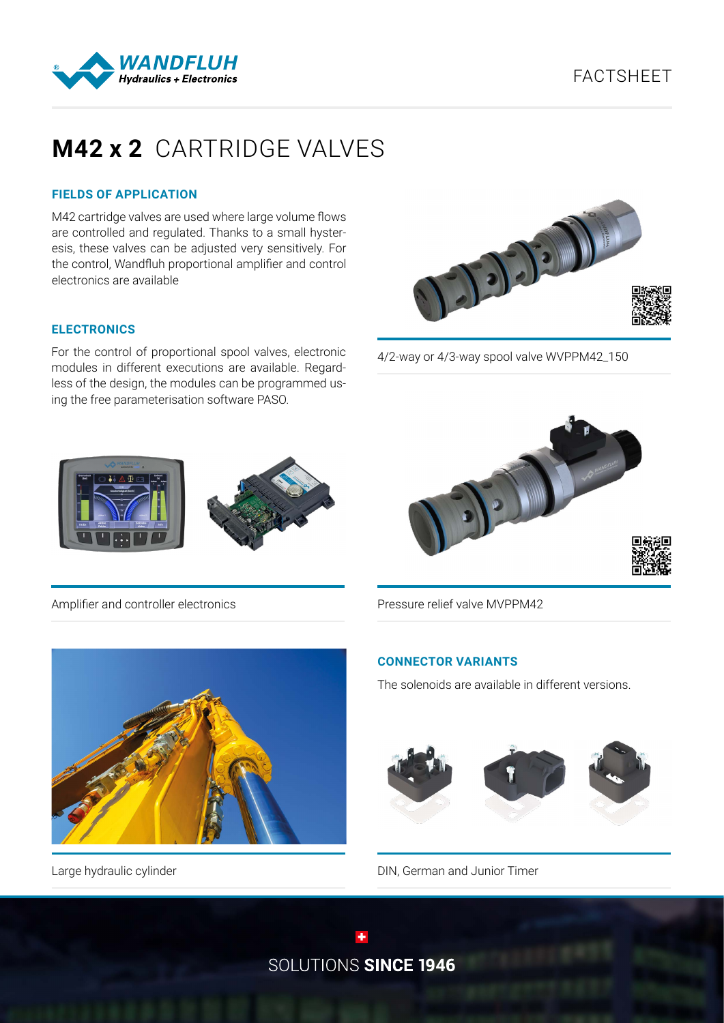

# **M42 x 2** CARTRIDGE VALVES

## **FIELDS OF APPLICATION**

M42 cartridge valves are used where large volume flows are controlled and regulated. Thanks to a small hysteresis, these valves can be adjusted very sensitively. For the control, Wandfluh proportional amplifier and control electronics are available

#### **ELECTRONICS**

For the control of proportional spool valves, electronic modules in different executions are available. Regardless of the design, the modules can be programmed using the free parameterisation software PASO.



4/2-way or 4/3-way spool valve WVPPM42\_150



Pressure relief valve MVPPM42





Large hydraulic cylinder

## **CONNECTOR VARIANTS**

The solenoids are available in different versions.



DIN, German and Junior Timer

SOLUTIONS SINCE 1946